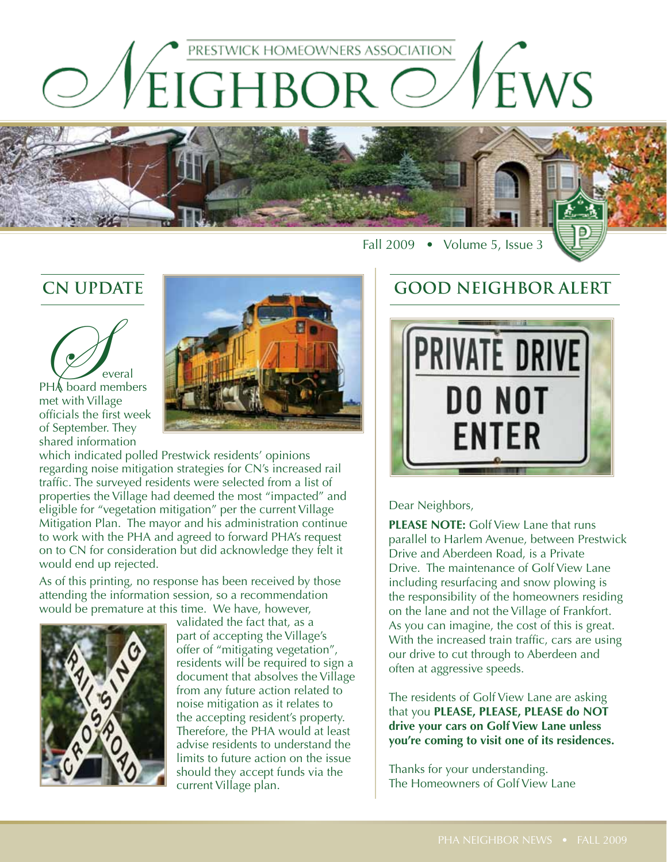



Fall 2009 • Volume 5, Issue 3

## **CN UPDATE**



met with Village officials the first week of September. They shared information



which indicated polled Prestwick residents' opinions regarding noise mitigation strategies for CN's increased rail traffic. The surveyed residents were selected from a list of properties the Village had deemed the most "impacted" and eligible for "vegetation mitigation" per the current Village Mitigation Plan. The mayor and his administration continue to work with the PHA and agreed to forward PHA's request on to CN for consideration but did acknowledge they felt it would end up rejected.

As of this printing, no response has been received by those attending the information session, so a recommendation would be premature at this time. We have, however,



validated the fact that, as a part of accepting the Village's offer of "mitigating vegetation", residents will be required to sign a document that absolves the Village from any future action related to noise mitigation as it relates to the accepting resident's property. Therefore, the PHA would at least advise residents to understand the limits to future action on the issue should they accept funds via the current Village plan.

## **GOOD NEIGHBOR ALERT**



Dear Neighbors,

**PLEASE NOTE:** Golf View Lane that runs parallel to Harlem Avenue, between Prestwick Drive and Aberdeen Road, is a Private Drive. The maintenance of Golf View Lane including resurfacing and snow plowing is the responsibility of the homeowners residing on the lane and not the Village of Frankfort. As you can imagine, the cost of this is great. With the increased train traffic, cars are using our drive to cut through to Aberdeen and often at aggressive speeds.

The residents of Golf View Lane are asking that you **PLEASE, PLEASE, PLEASE do NOT drive your cars on Golf View Lane unless you're coming to visit one of its residences.**

Thanks for your understanding. The Homeowners of Golf View Lane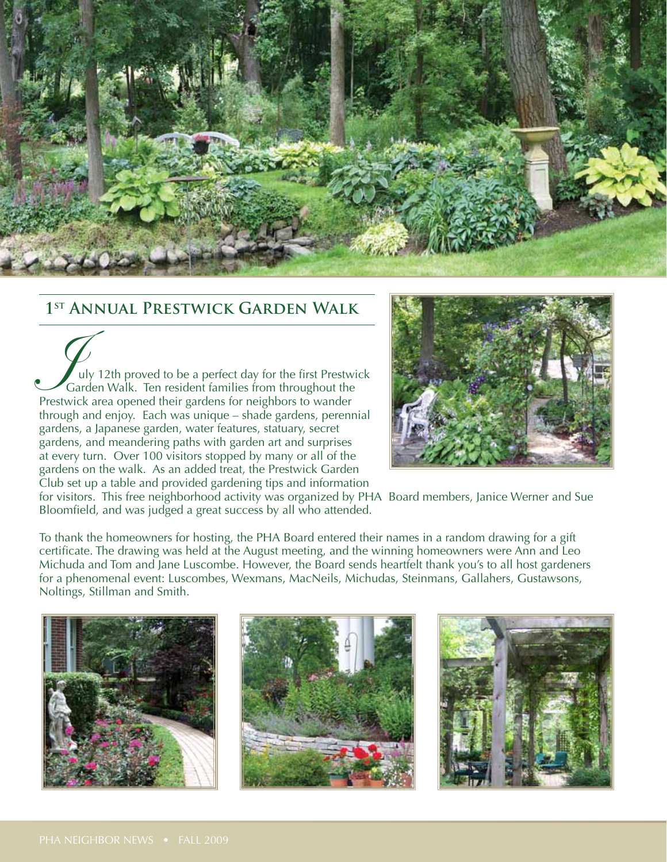

### **1st Annual Prestwick Garden Walk**

July 12th proved to be a perfect day for the first Prestwick Garden Walk. Ten resident families from throughout the Prestwick area opened their gardens for neighbors to wander through and enjoy. Each was unique – shade gardens, perennial gardens, a Japanese garden, water features, statuary, secret gardens, and meandering paths with garden art and surprises at every turn. Over 100 visitors stopped by many or all of the gardens on the walk. As an added treat, the Prestwick Garden Club set up a table and provided gardening tips and information



for visitors. This free neighborhood activity was organized by PHA Board members, Janice Werner and Sue Bloomfield, and was judged a great success by all who attended.

To thank the homeowners for hosting, the PHA Board entered their names in a random drawing for a gift certificate. The drawing was held at the August meeting, and the winning homeowners were Ann and Leo Michuda and Tom and Jane Luscombe. However, the Board sends heartfelt thank you's to all host gardeners for a phenomenal event: Luscombes, Wexmans, MacNeils, Michudas, Steinmans, Gallahers, Gustawsons, Noltings, Stillman and Smith.

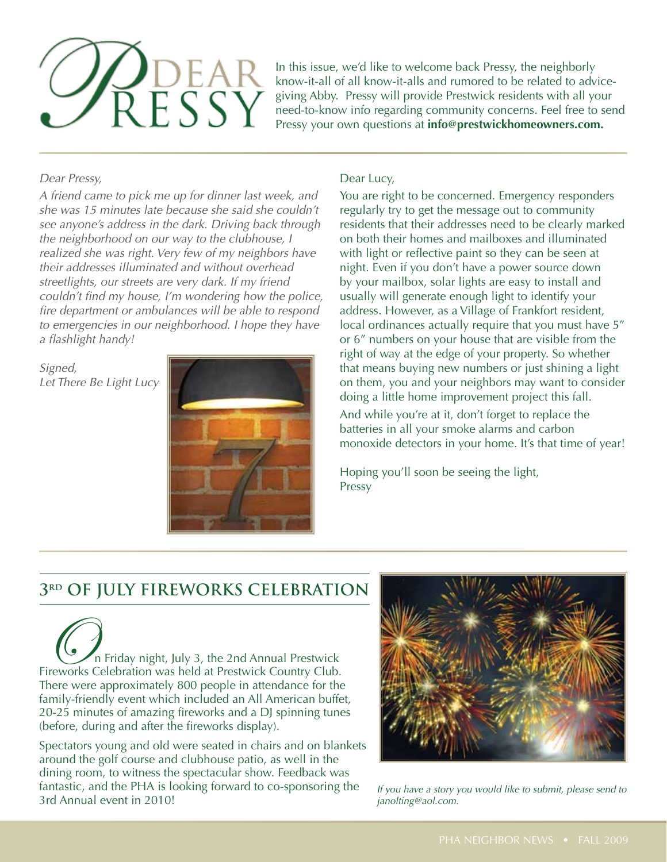

In this issue, we'd like to welcome back Pressy, the neighborly know-it-all of all know-it-alls and rumored to be related to advicegiving Abby. Pressy will provide Prestwick residents with all your need-to-know info regarding community concerns. Feel free to send Pressy your own questions at **info@prestwickhomeowners.com.**

*Dear Pressy,*

*A friend came to pick me up for dinner last week, and she was 15 minutes late because she said she couldn't see anyone's address in the dark. Driving back through the neighborhood on our way to the clubhouse, I realized she was right. Very few of my neighbors have their addresses illuminated and without overhead streetlights, our streets are very dark. If my friend couldn't find my house, I'm wondering how the police, fire department or ambulances will be able to respond to emergencies in our neighborhood. I hope they have a flashlight handy!*

*Signed, Let There Be Light Lucy*



#### Dear Lucy,

You are right to be concerned. Emergency responders regularly try to get the message out to community residents that their addresses need to be clearly marked on both their homes and mailboxes and illuminated with light or reflective paint so they can be seen at night. Even if you don't have a power source down by your mailbox, solar lights are easy to install and usually will generate enough light to identify your address. However, as a Village of Frankfort resident, local ordinances actually require that you must have 5" or 6" numbers on your house that are visible from the right of way at the edge of your property. So whether that means buying new numbers or just shining a light on them, you and your neighbors may want to consider doing a little home improvement project this fall.

And while you're at it, don't forget to replace the batteries in all your smoke alarms and carbon monoxide detectors in your home. It's that time of year!

Hoping you'll soon be seeing the light, Pressy

# **3rd of july fireworks celebration**

On Friday night, July 3, the 2nd Annual Prestwick Fireworks Celebration was held at Prestwick Country Club. There were approximately 800 people in attendance for the family-friendly event which included an All American buffet, 20-25 minutes of amazing fireworks and a DJ spinning tunes (before, during and after the fireworks display).

Spectators young and old were seated in chairs and on blankets around the golf course and clubhouse patio, as well in the dining room, to witness the spectacular show. Feedback was fantastic, and the PHA is looking forward to co-sponsoring the 3rd Annual event in 2010! *If you have a story you would like to submit, please send to* 



*janolting@aol.com.*